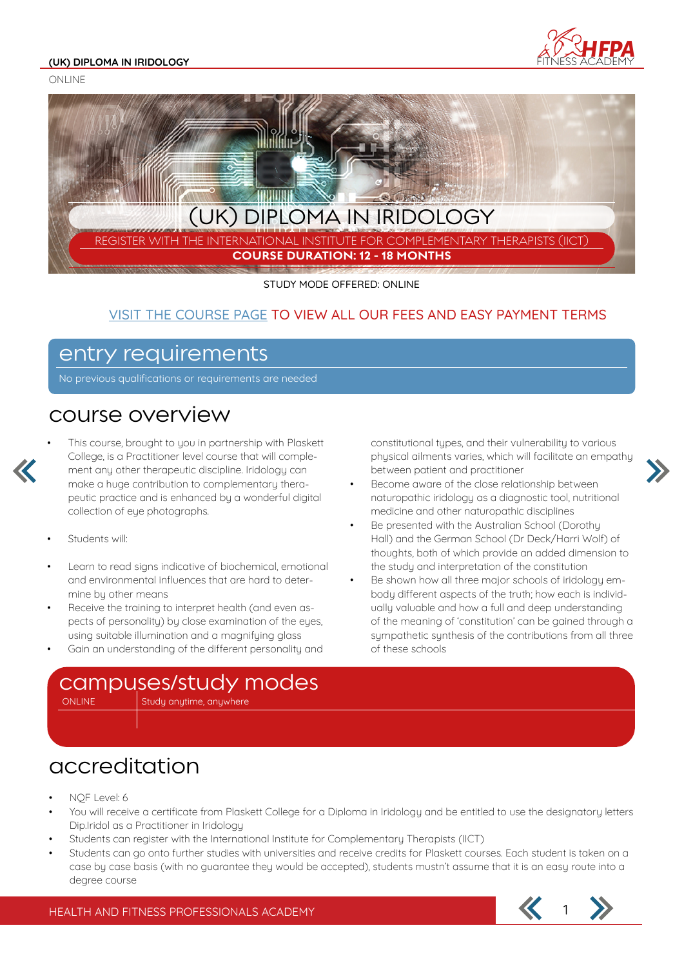#### **(UK) DIPLOMA IN IRIDOLOGY**

ONLINE





STUDY MODE OFFERED: ONLINE

#### VISIT THE COURSE PAGE TO VIEW ALL OUR FEES AND EASY PAYMENT TERMS

#### entry requirements

No previous qualifications or requirements are needed

#### course overview

• This course, brought to you in partnership with Plaskett College, is a Practitioner level course that will complement any other therapeutic discipline. Iridology can make a huge contribution to complementary therapeutic practice and is enhanced by a wonderful digital collection of eye photographs.

- Students will:
- Learn to read signs indicative of biochemical, emotional and environmental influences that are hard to determine by other means
- Receive the training to interpret health (and even aspects of personality) by close examination of the eyes, using suitable illumination and a magnifying glass
- Gain an understanding of the different personality and

constitutional types, and their vulnerability to various physical ailments varies, which will facilitate an empathy between patient and practitioner

- Become aware of the close relationship between naturopathic iridology as a diagnostic tool, nutritional medicine and other naturopathic disciplines
- Be presented with the Australian School (Dorothy Hall) and the German School (Dr Deck/Harri Wolf) of thoughts, both of which provide an added dimension to the study and interpretation of the constitution
- Be shown how all three major schools of iridology embody different aspects of the truth; how each is individually valuable and how a full and deep understanding of the meaning of 'constitution' can be gained through a sympathetic synthesis of the contributions from all three of these schools



### accreditation

- NQF Level: 6
- You will receive a certificate from Plaskett College for a Diploma in Iridology and be entitled to use the designatory letters Dip.Iridol as a Practitioner in Iridology
- Students can register with the International Institute for Complementary Therapists (IICT)
- Students can go onto further studies with universities and receive credits for Plaskett courses. Each student is taken on a case by case basis (with no guarantee they would be accepted), students mustn't assume that it is an easy route into a degree course